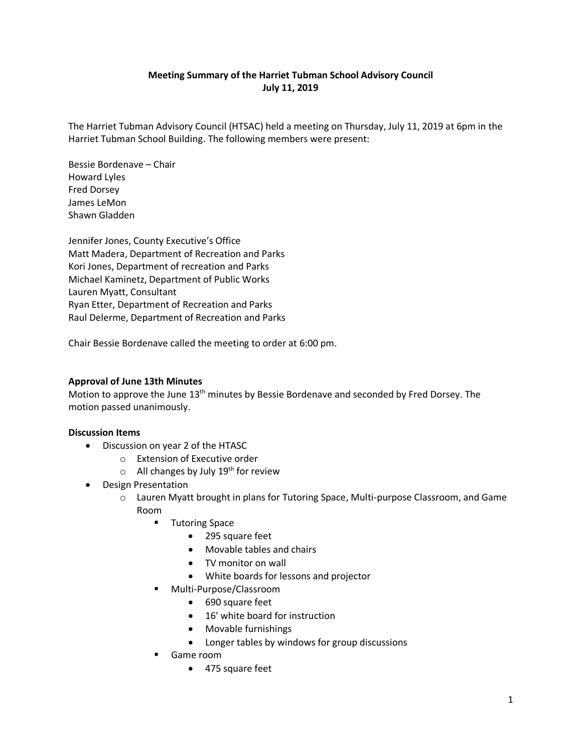# **Meeting Summary of the Harriet Tubman School Advisory Council July 11, 2019**

The Harriet Tubman Advisory Council (HTSAC) held a meeting on Thursday, July 11, 2019 at 6pm in the Harriet Tubman School Building. The following members were present:

Bessie Bordenave – Chair Howard Lyles Fred Dorsey James LeMon Shawn Gladden

Jennifer Jones, County Executive's Office Matt Madera, Department of Recreation and Parks Kori Jones, Department of recreation and Parks Michael Kaminetz, Department of Public Works Lauren Myatt, Consultant Ryan Etter, Department of Recreation and Parks Raul Delerme, Department of Recreation and Parks

Chair Bessie Bordenave called the meeting to order at 6:00 pm.

## **Approval of June 13th Minutes**

Motion to approve the June 13<sup>th</sup> minutes by Bessie Bordenave and seconded by Fred Dorsey. The motion passed unanimously.

### **Discussion Items**

- Discussion on year 2 of the HTASC
	- o Extension of Executive order
	- $\circ$  All changes by July 19<sup>th</sup> for review
- Design Presentation
	- o Lauren Myatt brought in plans for Tutoring Space, Multi-purpose Classroom, and Game Room
		- Tutoring Space
			- 295 square feet
			- Movable tables and chairs
			- TV monitor on wall
			- White boards for lessons and projector
		- Multi-Purpose/Classroom
			- 690 square feet
			- 16' white board for instruction
			- Movable furnishings
			- Longer tables by windows for group discussions
		- Game room
			- 475 square feet